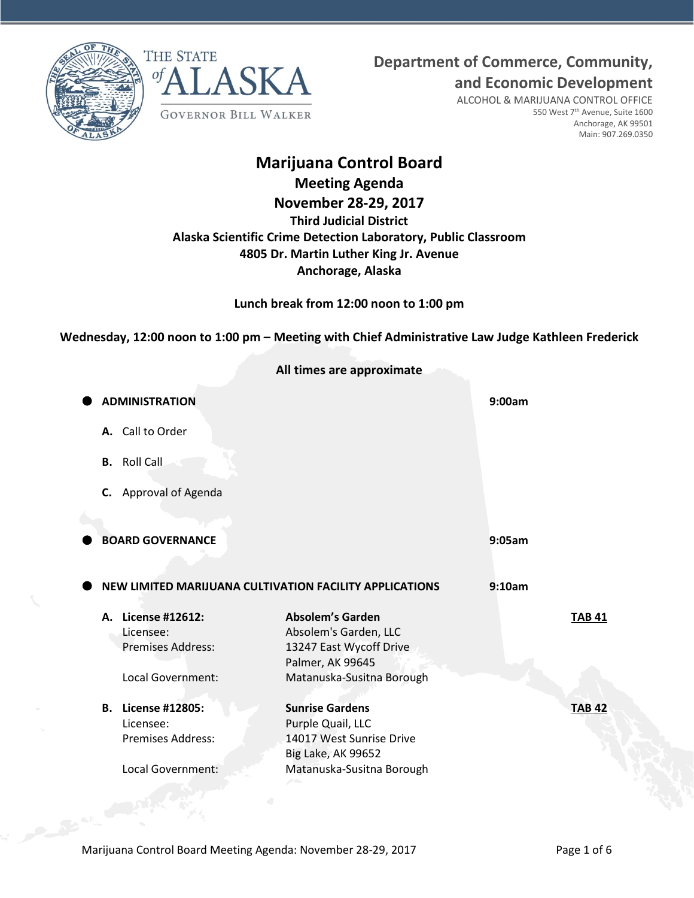



**Department of Commerce, Community,**

**and Economic Development**

ALCOHOL & MARIJUANA CONTROL OFFICE 550 West 7th Avenue, Suite 1600 Anchorage, AK 99501 Main: 907.269.0350

# **Marijuana Control Board**

**Meeting Agenda November 28-29, 2017 Third Judicial District Alaska Scientific Crime Detection Laboratory, Public Classroom 4805 Dr. Martin Luther King Jr. Avenue Anchorage, Alaska**

**Lunch break from 12:00 noon to 1:00 pm**

**Wednesday, 12:00 noon to 1:00 pm – Meeting with Chief Administrative Law Judge Kathleen Frederick**

| <b>ADMINISTRATION</b>                                          |                                                                                                      | 9:00am                                                                                                   |
|----------------------------------------------------------------|------------------------------------------------------------------------------------------------------|----------------------------------------------------------------------------------------------------------|
| A. Call to Order                                               |                                                                                                      |                                                                                                          |
| <b>B.</b> Roll Call                                            |                                                                                                      |                                                                                                          |
| Approval of Agenda<br>C.                                       |                                                                                                      |                                                                                                          |
|                                                                |                                                                                                      |                                                                                                          |
| <b>BOARD GOVERNANCE</b>                                        |                                                                                                      | 9:05am                                                                                                   |
|                                                                |                                                                                                      |                                                                                                          |
|                                                                |                                                                                                      | 9:10am                                                                                                   |
| A. License #12612:<br>Licensee:<br><b>Premises Address:</b>    | <b>Absolem's Garden</b><br>Absolem's Garden, LLC<br>13247 East Wycoff Drive                          | <b>TAB 41</b>                                                                                            |
| Local Government:                                              | Matanuska-Susitna Borough                                                                            |                                                                                                          |
| License #12805:<br>В.<br>Licensee:<br><b>Premises Address:</b> | <b>Sunrise Gardens</b><br>Purple Quail, LLC<br>14017 West Sunrise Drive<br><b>Big Lake, AK 99652</b> | <b>TAB 42</b>                                                                                            |
| Local Government:                                              | Matanuska-Susitna Borough                                                                            |                                                                                                          |
|                                                                |                                                                                                      | All times are approximate<br>NEW LIMITED MARIJUANA CULTIVATION FACILITY APPLICATIONS<br>Palmer, AK 99645 |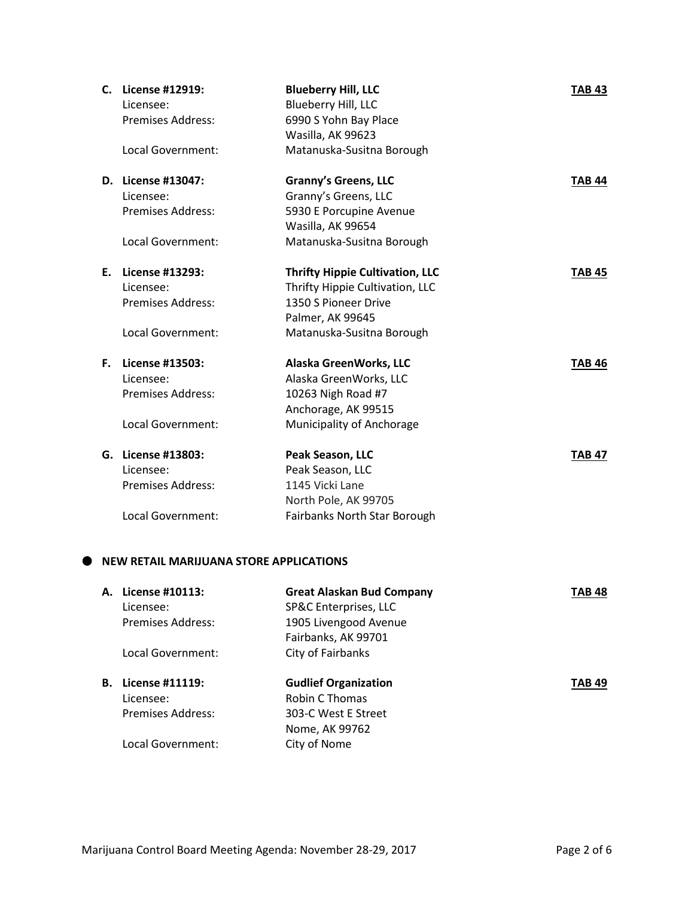| C. | License #12919:<br>Licensee:<br><b>Premises Address:</b> | <b>Blueberry Hill, LLC</b><br>Blueberry Hill, LLC<br>6990 S Yohn Bay Place<br>Wasilla, AK 99623 | <b>TAB 43</b> |
|----|----------------------------------------------------------|-------------------------------------------------------------------------------------------------|---------------|
|    | Local Government:                                        | Matanuska-Susitna Borough                                                                       |               |
|    | D. License #13047:                                       | <b>Granny's Greens, LLC</b>                                                                     | <b>TAB 44</b> |
|    | Licensee:                                                | Granny's Greens, LLC                                                                            |               |
|    | <b>Premises Address:</b>                                 | 5930 E Porcupine Avenue                                                                         |               |
|    |                                                          | Wasilla, AK 99654                                                                               |               |
|    | Local Government:                                        | Matanuska-Susitna Borough                                                                       |               |
|    | E. License #13293:                                       | <b>Thrifty Hippie Cultivation, LLC</b>                                                          | <b>TAB 45</b> |
|    | Licensee:                                                | Thrifty Hippie Cultivation, LLC                                                                 |               |
|    | <b>Premises Address:</b>                                 | 1350 S Pioneer Drive                                                                            |               |
|    |                                                          | Palmer, AK 99645                                                                                |               |
|    | Local Government:                                        | Matanuska-Susitna Borough                                                                       |               |
| Е. | License #13503:                                          | Alaska GreenWorks, LLC                                                                          | <b>TAB 46</b> |
|    | Licensee:                                                | Alaska GreenWorks, LLC                                                                          |               |
|    | <b>Premises Address:</b>                                 | 10263 Nigh Road #7                                                                              |               |
|    |                                                          | Anchorage, AK 99515                                                                             |               |
|    | Local Government:                                        | Municipality of Anchorage                                                                       |               |
|    | G. License #13803:                                       | Peak Season, LLC                                                                                | <b>TAB 47</b> |
|    | Licensee:                                                | Peak Season, LLC                                                                                |               |
|    | <b>Premises Address:</b>                                 | 1145 Vicki Lane                                                                                 |               |
|    |                                                          | North Pole, AK 99705                                                                            |               |
|    | Local Government:                                        | Fairbanks North Star Borough                                                                    |               |
|    |                                                          |                                                                                                 |               |

# $\bullet$  NEW RETAIL MARIJUANA STORE APPLICATIONS

| А. | License #10113:<br>Licensee: | <b>Great Alaskan Bud Company</b><br>SP&C Enterprises, LLC | TAB 48        |
|----|------------------------------|-----------------------------------------------------------|---------------|
|    | Premises Address:            | 1905 Livengood Avenue                                     |               |
|    |                              | Fairbanks, AK 99701                                       |               |
|    | Local Government:            | City of Fairbanks                                         |               |
| В. | License #11119:              | <b>Gudlief Organization</b>                               | <b>TAB 49</b> |
|    |                              |                                                           |               |
|    | Licensee:                    | <b>Robin C Thomas</b>                                     |               |
|    | Premises Address:            | 303-C West E Street                                       |               |
|    |                              | Nome, AK 99762                                            |               |
|    | Local Government:            | City of Nome                                              |               |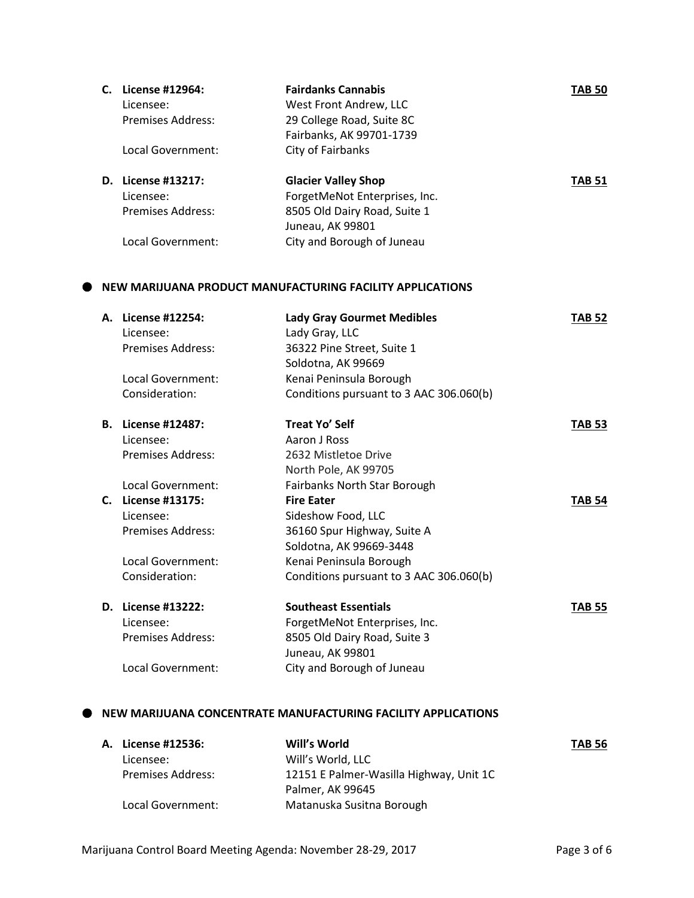| C. License #12964:                  | <b>Fairdanks Cannabis</b>                                     | <b>TAB 50</b> |
|-------------------------------------|---------------------------------------------------------------|---------------|
| Licensee:                           | West Front Andrew, LLC                                        |               |
| <b>Premises Address:</b>            | 29 College Road, Suite 8C                                     |               |
|                                     | Fairbanks, AK 99701-1739                                      |               |
| Local Government:                   | City of Fairbanks                                             |               |
| D. License #13217:                  | <b>Glacier Valley Shop</b>                                    | <b>TAB 51</b> |
| Licensee:                           | ForgetMeNot Enterprises, Inc.                                 |               |
| <b>Premises Address:</b>            | 8505 Old Dairy Road, Suite 1                                  |               |
|                                     | Juneau, AK 99801                                              |               |
| <b>Local Government:</b>            | City and Borough of Juneau                                    |               |
|                                     | NEW MARIJUANA PRODUCT MANUFACTURING FACILITY APPLICATIONS     |               |
| A. License #12254:                  | <b>Lady Gray Gourmet Medibles</b>                             | <b>TAB 52</b> |
| Licensee:                           | Lady Gray, LLC                                                |               |
| <b>Premises Address:</b>            | 36322 Pine Street, Suite 1                                    |               |
|                                     | Soldotna, AK 99669                                            |               |
| Local Government:                   | Kenai Peninsula Borough                                       |               |
| Consideration:                      | Conditions pursuant to 3 AAC 306.060(b)                       |               |
| <b>B.</b> License #12487:           | <b>Treat Yo' Self</b>                                         | <b>TAB 53</b> |
| Licensee:                           | Aaron J Ross                                                  |               |
| <b>Premises Address:</b>            | 2632 Mistletoe Drive                                          |               |
|                                     | North Pole, AK 99705                                          |               |
| Local Government:                   | Fairbanks North Star Borough                                  |               |
| C. License #13175:                  | <b>Fire Eater</b>                                             | <b>TAB 54</b> |
| Licensee:                           | Sideshow Food, LLC                                            |               |
| <b>Premises Address:</b>            | 36160 Spur Highway, Suite A                                   |               |
|                                     | Soldotna, AK 99669-3448                                       |               |
| Local Government:<br>Consideration: | Kenai Peninsula Borough                                       |               |
|                                     | Conditions pursuant to 3 AAC 306.060(b)                       |               |
| D. License #13222:                  | <b>Southeast Essentials</b>                                   | TAB 55        |
| Licensee:                           | ForgetMeNot Enterprises, Inc.                                 |               |
| <b>Premises Address:</b>            | 8505 Old Dairy Road, Suite 3                                  |               |
|                                     | Juneau, AK 99801                                              |               |
| <b>Local Government:</b>            | City and Borough of Juneau                                    |               |
|                                     | NEW MARIJUANA CONCENTRATE MANUFACTURING FACILITY APPLICATIONS |               |
| A. License #12536:                  | Will's World                                                  | <b>TAB 56</b> |
|                                     |                                                               |               |

| EICCIIJC #15990.         |                                         | $\overline{\phantom{a}}$ |
|--------------------------|-----------------------------------------|--------------------------|
| Licensee:                | Will's World. LLC                       |                          |
| <b>Premises Address:</b> | 12151 E Palmer-Wasilla Highway, Unit 1C |                          |
|                          | Palmer, AK 99645                        |                          |
| Local Government:        | Matanuska Susitna Borough               |                          |
|                          |                                         |                          |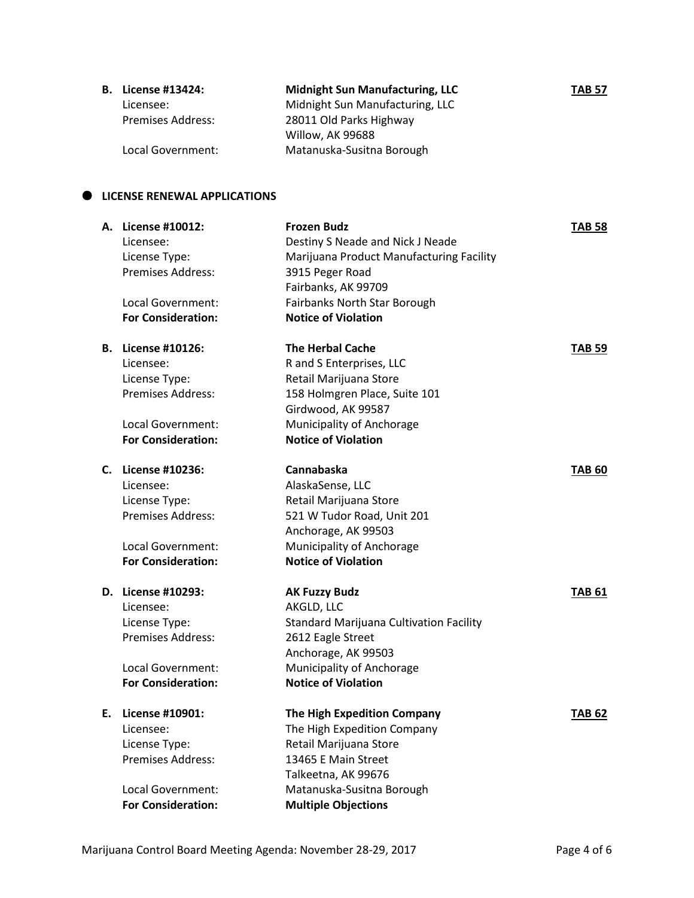| <b>B.</b> License #13424: | <b>Midnight Sun Manufacturing, LLC</b> | <b>TAB 57</b> |
|---------------------------|----------------------------------------|---------------|
| Licensee:                 | Midnight Sun Manufacturing, LLC        |               |
| <b>Premises Address:</b>  | 28011 Old Parks Highway                |               |
|                           | Willow, AK 99688                       |               |
| Local Government:         | Matanuska-Susitna Borough              |               |

# **LICENSE RENEWAL APPLICATIONS**

|    | A. License #10012:<br>Licensee:<br>License Type:<br>Premises Address:<br>Local Government:<br><b>For Consideration:</b>               | <b>Frozen Budz</b><br>Destiny S Neade and Nick J Neade<br>Marijuana Product Manufacturing Facility<br>3915 Peger Road<br>Fairbanks, AK 99709<br>Fairbanks North Star Borough<br><b>Notice of Violation</b> | <b>TAB 58</b> |
|----|---------------------------------------------------------------------------------------------------------------------------------------|------------------------------------------------------------------------------------------------------------------------------------------------------------------------------------------------------------|---------------|
|    | <b>B.</b> License #10126:<br>Licensee:<br>License Type:<br><b>Premises Address:</b><br>Local Government:<br><b>For Consideration:</b> | <b>The Herbal Cache</b><br>R and S Enterprises, LLC<br>Retail Marijuana Store<br>158 Holmgren Place, Suite 101<br>Girdwood, AK 99587<br>Municipality of Anchorage<br><b>Notice of Violation</b>            | TAB 59        |
| C. | License #10236:<br>Licensee:<br>License Type:<br><b>Premises Address:</b><br>Local Government:<br><b>For Consideration:</b>           | Cannabaska<br>AlaskaSense, LLC<br>Retail Marijuana Store<br>521 W Tudor Road, Unit 201<br>Anchorage, AK 99503<br>Municipality of Anchorage<br><b>Notice of Violation</b>                                   | <b>TAB 60</b> |
|    | D. License #10293:<br>Licensee:<br>License Type:<br><b>Premises Address:</b><br><b>Local Government:</b><br><b>For Consideration:</b> | <b>AK Fuzzy Budz</b><br>AKGLD, LLC<br><b>Standard Marijuana Cultivation Facility</b><br>2612 Eagle Street<br>Anchorage, AK 99503<br>Municipality of Anchorage<br><b>Notice of Violation</b>                | <b>TAB 61</b> |
|    | E. License #10901:<br>Licensee:<br>License Type:<br>Premises Address:<br>Local Government:<br><b>For Consideration:</b>               | The High Expedition Company<br>The High Expedition Company<br>Retail Marijuana Store<br>13465 E Main Street<br>Talkeetna, AK 99676<br>Matanuska-Susitna Borough<br><b>Multiple Objections</b>              | TAB 62        |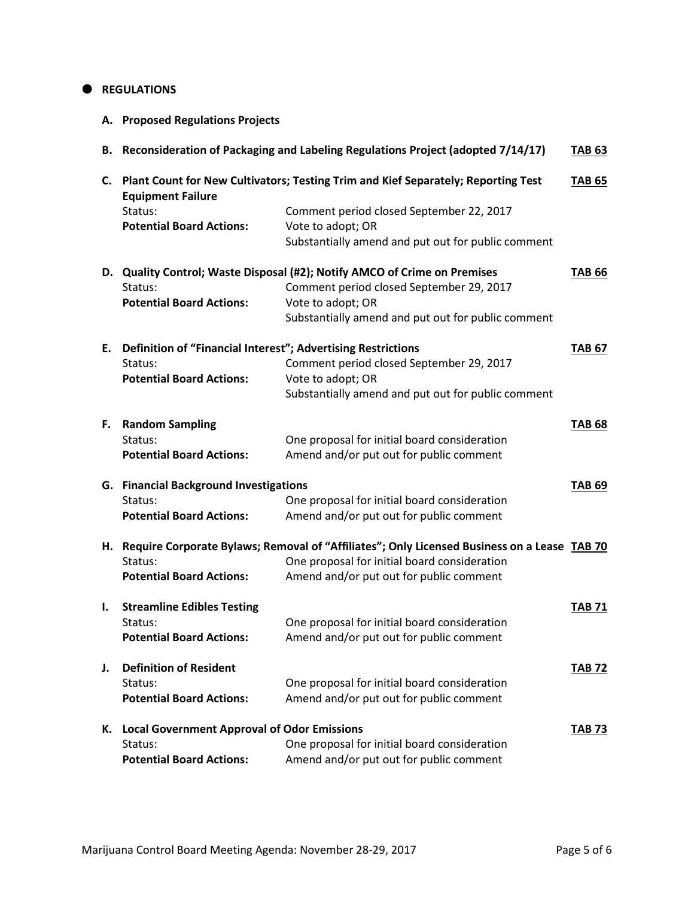#### $\bullet$  REGULATIONS

**A. Proposed Regulations Projects**

|    |                                                              | B. Reconsideration of Packaging and Labeling Regulations Project (adopted 7/14/17)          | <b>TAB 63</b> |
|----|--------------------------------------------------------------|---------------------------------------------------------------------------------------------|---------------|
| C. | <b>Equipment Failure</b>                                     | Plant Count for New Cultivators; Testing Trim and Kief Separately; Reporting Test           | <b>TAB 65</b> |
|    | Status:                                                      | Comment period closed September 22, 2017                                                    |               |
|    | <b>Potential Board Actions:</b>                              | Vote to adopt; OR                                                                           |               |
|    |                                                              | Substantially amend and put out for public comment                                          |               |
|    |                                                              | D. Quality Control; Waste Disposal (#2); Notify AMCO of Crime on Premises                   | <b>TAB 66</b> |
|    | Status:                                                      | Comment period closed September 29, 2017                                                    |               |
|    | <b>Potential Board Actions:</b>                              | Vote to adopt; OR                                                                           |               |
|    |                                                              | Substantially amend and put out for public comment                                          |               |
| Е. | Definition of "Financial Interest"; Advertising Restrictions |                                                                                             | <b>TAB 67</b> |
|    | Status:                                                      | Comment period closed September 29, 2017                                                    |               |
|    | <b>Potential Board Actions:</b>                              | Vote to adopt; OR                                                                           |               |
|    |                                                              | Substantially amend and put out for public comment                                          |               |
| F. | <b>Random Sampling</b>                                       |                                                                                             | <b>TAB 68</b> |
|    | Status:                                                      | One proposal for initial board consideration                                                |               |
|    | <b>Potential Board Actions:</b>                              | Amend and/or put out for public comment                                                     |               |
|    | G. Financial Background Investigations                       |                                                                                             | <b>TAB 69</b> |
|    | Status:                                                      | One proposal for initial board consideration                                                |               |
|    | <b>Potential Board Actions:</b>                              | Amend and/or put out for public comment                                                     |               |
| Н. |                                                              | Require Corporate Bylaws; Removal of "Affiliates"; Only Licensed Business on a Lease TAB 70 |               |
|    | Status:                                                      | One proposal for initial board consideration                                                |               |
|    | <b>Potential Board Actions:</b>                              | Amend and/or put out for public comment                                                     |               |
| ı. | <b>Streamline Edibles Testing</b>                            |                                                                                             | <b>TAB 71</b> |
|    | Status:                                                      | One proposal for initial board consideration                                                |               |
|    | <b>Potential Board Actions:</b>                              | Amend and/or put out for public comment                                                     |               |
| J. | <b>Definition of Resident</b>                                |                                                                                             | TAB 72        |
|    | Status:                                                      | One proposal for initial board consideration                                                |               |
|    | <b>Potential Board Actions:</b>                              | Amend and/or put out for public comment                                                     |               |
|    | K. Local Government Approval of Odor Emissions               |                                                                                             | <b>TAB 73</b> |
|    | Status:                                                      | One proposal for initial board consideration                                                |               |
|    | <b>Potential Board Actions:</b>                              | Amend and/or put out for public comment                                                     |               |